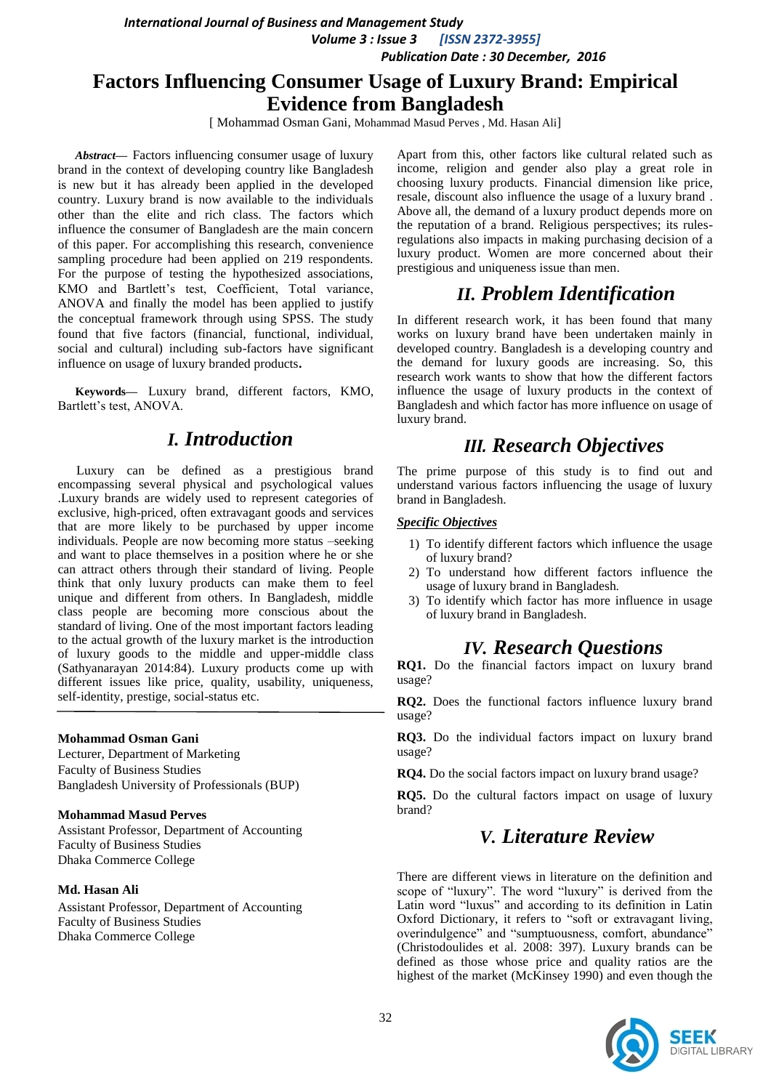*International Journal of Business and Management Study*

 *Volume 3 : Issue 3 [ISSN 2372-3955] Publication Date : 30 December, 2016*

# **Factors Influencing Consumer Usage of Luxury Brand: Empirical Evidence from Bangladesh**

[ Mohammad Osman Gani, Mohammad Masud Perves, Md. Hasan Ali]

*Abstract***—** Factors influencing consumer usage of luxury brand in the context of developing country like Bangladesh is new but it has already been applied in the developed country. Luxury brand is now available to the individuals other than the elite and rich class. The factors which influence the consumer of Bangladesh are the main concern of this paper. For accomplishing this research, convenience sampling procedure had been applied on 219 respondents. For the purpose of testing the hypothesized associations, KMO and Bartlett"s test, Coefficient, Total variance, ANOVA and finally the model has been applied to justify the conceptual framework through using SPSS. The study found that five factors (financial, functional, individual, social and cultural) including sub-factors have significant influence on usage of luxury branded products**.**

**Keywords—** Luxury brand, different factors, KMO, Bartlett's test, ANOVA.

## *I. Introduction*

Luxury can be defined as a prestigious brand encompassing several physical and psychological values .Luxury brands are widely used to represent categories of exclusive, high-priced, often extravagant goods and services that are more likely to be purchased by upper income individuals. People are now becoming more status –seeking and want to place themselves in a position where he or she can attract others through their standard of living. People think that only luxury products can make them to feel unique and different from others. In Bangladesh, middle class people are becoming more conscious about the standard of living. One of the most important factors leading to the actual growth of the luxury market is the introduction of luxury goods to the middle and upper-middle class (Sathyanarayan 2014:84). Luxury products come up with different issues like price, quality, usability, uniqueness, self-identity, prestige, social-status etc.

#### **Mohammad Osman Gani**

Lecturer, Department of Marketing Faculty of Business Studies Bangladesh University of Professionals (BUP)

#### **Mohammad Masud Perves**

Assistant Professor, Department of Accounting Faculty of Business Studies Dhaka Commerce College

### **Md. Hasan Ali**

Assistant Professor, Department of Accounting Faculty of Business Studies Dhaka Commerce College

Apart from this, other factors like cultural related such as income, religion and gender also play a great role in choosing luxury products. Financial dimension like price, resale, discount also influence the usage of a luxury brand . Above all, the demand of a luxury product depends more on the reputation of a brand. Religious perspectives; its rulesregulations also impacts in making purchasing decision of a luxury product. Women are more concerned about their prestigious and uniqueness issue than men.

# *II. Problem Identification*

In different research work, it has been found that many works on luxury brand have been undertaken mainly in developed country. Bangladesh is a developing country and the demand for luxury goods are increasing. So, this research work wants to show that how the different factors influence the usage of luxury products in the context of Bangladesh and which factor has more influence on usage of luxury brand.

# *III. Research Objectives*

The prime purpose of this study is to find out and understand various factors influencing the usage of luxury brand in Bangladesh.

### *Specific Objectives*

- 1) To identify different factors which influence the usage of luxury brand?
- 2) To understand how different factors influence the usage of luxury brand in Bangladesh.
- 3) To identify which factor has more influence in usage of luxury brand in Bangladesh.

# *IV. Research Questions*

**RQ1.** Do the financial factors impact on luxury brand usage?

**RQ2.** Does the functional factors influence luxury brand usage?

**RQ3.** Do the individual factors impact on luxury brand usage?

**RQ4.** Do the social factors impact on luxury brand usage?

**RQ5.** Do the cultural factors impact on usage of luxury brand?

# *V. Literature Review*

There are different views in literature on the definition and scope of "luxury". The word "luxury" is derived from the Latin word "luxus" and according to its definition in Latin Oxford Dictionary, it refers to "soft or extravagant living, overindulgence" and "sumptuousness, comfort, abundance" (Christodoulides et al. 2008: 397). Luxury brands can be defined as those whose price and quality ratios are the highest of the market (McKinsey 1990) and even though the

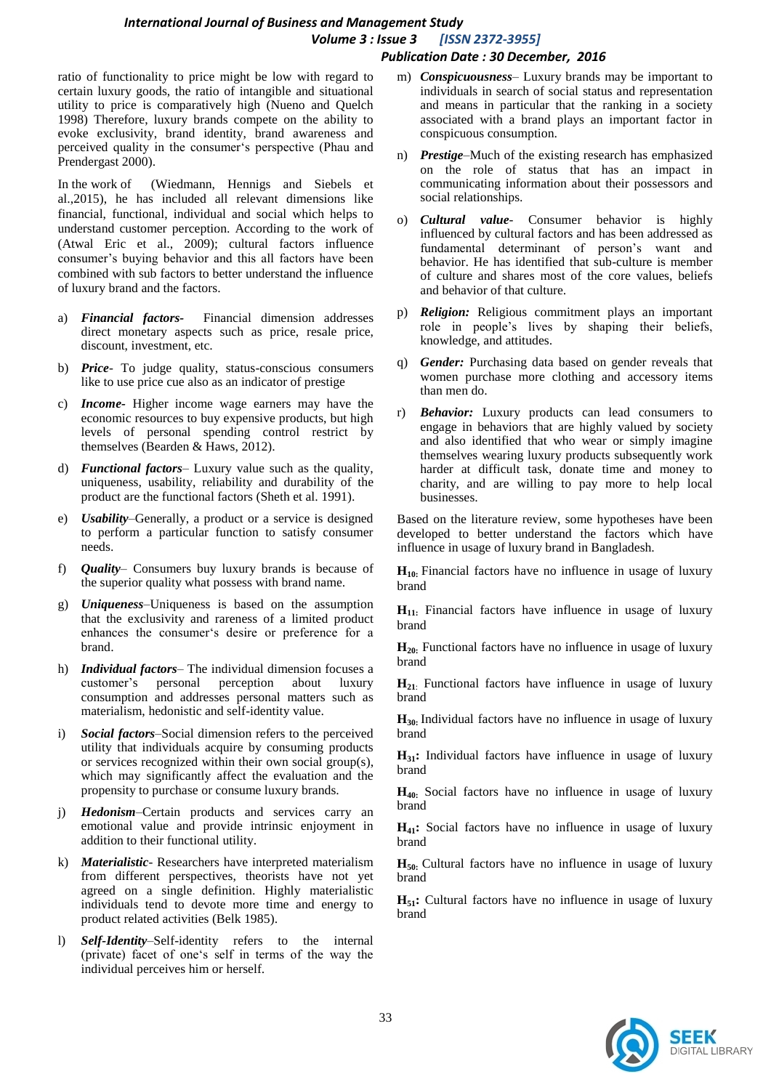*International Journal of Business and Management Study Volume 3 : Issue 3 [ISSN 2372-3955] Publication Date : 30 December, 2016*

ratio of functionality to price might be low with regard to certain luxury goods, the ratio of intangible and situational utility to price is comparatively high (Nueno and Quelch 1998) Therefore, luxury brands compete on the ability to evoke exclusivity, brand identity, brand awareness and perceived quality in the consumer"s perspective (Phau and Prendergast 2000).

In the work of (Wiedmann, Hennigs and Siebels et al.,2015), he has included all relevant dimensions like financial, functional, individual and social which helps to understand customer perception. According to the work of (Atwal Eric et al., 2009); cultural factors influence consumer"s buying behavior and this all factors have been combined with sub factors to better understand the influence of luxury brand and the factors.

- a) *Financial factors-* Financial dimension addresses direct monetary aspects such as price, resale price, discount, investment, etc.
- b) *Price* To judge quality, status-conscious consumers like to use price cue also as an indicator of prestige
- c) *Income-* Higher income wage earners may have the economic resources to buy expensive products, but high levels of personal spending control restrict by themselves (Bearden & Haws, 2012).
- d) *Functional factors* Luxury value such as the quality, uniqueness, usability, reliability and durability of the product are the functional factors (Sheth et al. 1991).
- e) *Usability*–Generally, a product or a service is designed to perform a particular function to satisfy consumer needs.
- f) *Quality* Consumers buy luxury brands is because of the superior quality what possess with brand name.
- g) *Uniqueness*–Uniqueness is based on the assumption that the exclusivity and rareness of a limited product enhances the consumer's desire or preference for a brand.
- h) *Individual factors* The individual dimension focuses a customer"s personal perception about luxury consumption and addresses personal matters such as materialism, hedonistic and self-identity value.
- i) *Social factors*–Social dimension refers to the perceived utility that individuals acquire by consuming products or services recognized within their own social group(s), which may significantly affect the evaluation and the propensity to purchase or consume luxury brands.
- j) *Hedonism*–Certain products and services carry an emotional value and provide intrinsic enjoyment in addition to their functional utility.
- k) *Materialistic* Researchers have interpreted materialism from different perspectives, theorists have not yet agreed on a single definition. Highly materialistic individuals tend to devote more time and energy to product related activities (Belk 1985).
- l) *Self-Identity*–Self-identity refers to the internal (private) facet of one"s self in terms of the way the individual perceives him or herself.
- m) *Conspicuousness* Luxury brands may be important to individuals in search of social status and representation and means in particular that the ranking in a society associated with a brand plays an important factor in conspicuous consumption.
- n) *Prestige*–Much of the existing research has emphasized on the role of status that has an impact in communicating information about their possessors and social relationships.
- o) *Cultural value-* Consumer behavior is highly influenced by cultural factors and has been addressed as fundamental determinant of person"s want and behavior. He has identified that sub-culture is member of culture and shares most of the core values, beliefs and behavior of that culture.
- p) *Religion:* Religious commitment plays an important role in people"s lives by shaping their beliefs, knowledge, and attitudes.
- q) *Gender:* Purchasing data based on gender reveals that women purchase more clothing and accessory items than men do.
- r) *Behavior:* Luxury products can lead consumers to engage in behaviors that are highly valued by society and also identified that who wear or simply imagine themselves wearing luxury products subsequently work harder at difficult task, donate time and money to charity, and are willing to pay more to help local businesses.

Based on the literature review, some hypotheses have been developed to better understand the factors which have influence in usage of luxury brand in Bangladesh.

**H10:** Financial factors have no influence in usage of luxury brand

**H11:** Financial factors have influence in usage of luxury brand

**H20:** Functional factors have no influence in usage of luxury brand

**H21**: Functional factors have influence in usage of luxury brand

**H30:** Individual factors have no influence in usage of luxury brand

**H31:** Individual factors have influence in usage of luxury brand

**H40:** Social factors have no influence in usage of luxury brand

**H41:** Social factors have no influence in usage of luxury brand

**H50:** Cultural factors have no influence in usage of luxury brand

**H**<sub>51</sub>: Cultural factors have no influence in usage of luxury brand

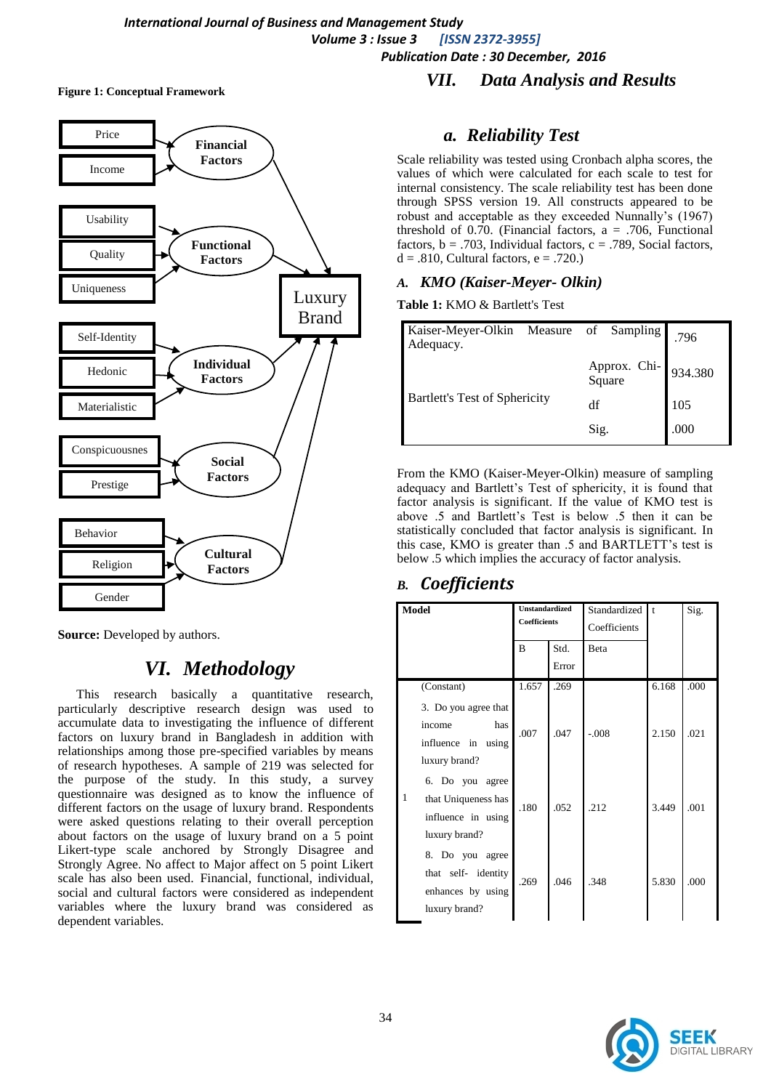**Figure 1: Conceptual Framework**



**Source:** Developed by authors.

# *VI. Methodology*

This research basically a quantitative research, particularly descriptive research design was used to accumulate data to investigating the influence of different factors on luxury brand in Bangladesh in addition with relationships among those pre-specified variables by means of research hypotheses. A sample of 219 was selected for the purpose of the study. In this study, a survey questionnaire was designed as to know the influence of different factors on the usage of luxury brand. Respondents were asked questions relating to their overall perception about factors on the usage of luxury brand on a 5 point Likert-type scale anchored by Strongly Disagree and Strongly Agree. No affect to Major affect on 5 point Likert scale has also been used. Financial, functional, individual, social and cultural factors were considered as independent variables where the luxury brand was considered as dependent variables.

## *VII. Data Analysis and Results*

## *a. Reliability Test*

Scale reliability was tested using Cronbach alpha scores, the values of which were calculated for each scale to test for internal consistency. The scale reliability test has been done through SPSS version 19. All constructs appeared to be robust and acceptable as they exceeded Nunnally"s (1967) threshold of 0.70. (Financial factors,  $a = .706$ , Functional factors,  $b = .703$ . Individual factors,  $c = .789$ . Social factors,  $d = .810$ , Cultural factors,  $e = .720$ .)

### *A. KMO (Kaiser-Meyer- Olkin)*

**Table 1:** KMO & Bartlett's Test

| Kaiser-Meyer-Olkin Measure of Sampling<br>Adequacy. |                                | .796 |
|-----------------------------------------------------|--------------------------------|------|
|                                                     | Approx. Chi-<br>Square 934.380 |      |
| Bartlett's Test of Sphericity                       | df                             | 105  |
|                                                     | Sig.                           | .000 |

From the KMO (Kaiser-Meyer-Olkin) measure of sampling adequacy and Bartlett's Test of sphericity, it is found that factor analysis is significant. If the value of KMO test is above .5 and Bartlett"s Test is below .5 then it can be statistically concluded that factor analysis is significant. In this case, KMO is greater than .5 and BARTLETT's test is below .5 which implies the accuracy of factor analysis.

## *B. Coefficients*

| <b>Unstandardized</b><br>Model<br>Coefficients                                     |                | Standardized<br>Coefficients | $\mathbf{t}$ | Sig.  |      |
|------------------------------------------------------------------------------------|----------------|------------------------------|--------------|-------|------|
|                                                                                    | $\overline{B}$ | Std.                         | Beta         |       |      |
|                                                                                    |                | Error                        |              |       |      |
| (Constant)                                                                         | 1.657          | .269                         |              | 6.168 | .000 |
| 3. Do you agree that<br>has<br>income<br>influence in using<br>luxury brand?       | .007           | .047                         | $-.008$      | 2.150 | .021 |
| 6. Do you agree<br>1<br>that Uniqueness has<br>influence in using<br>luxury brand? | .180           | .052                         | .212         | 3.449 | .001 |
| 8. Do you agree<br>that self- identity<br>enhances by using<br>luxury brand?       | .269           | .046                         | .348         | 5.830 | .000 |

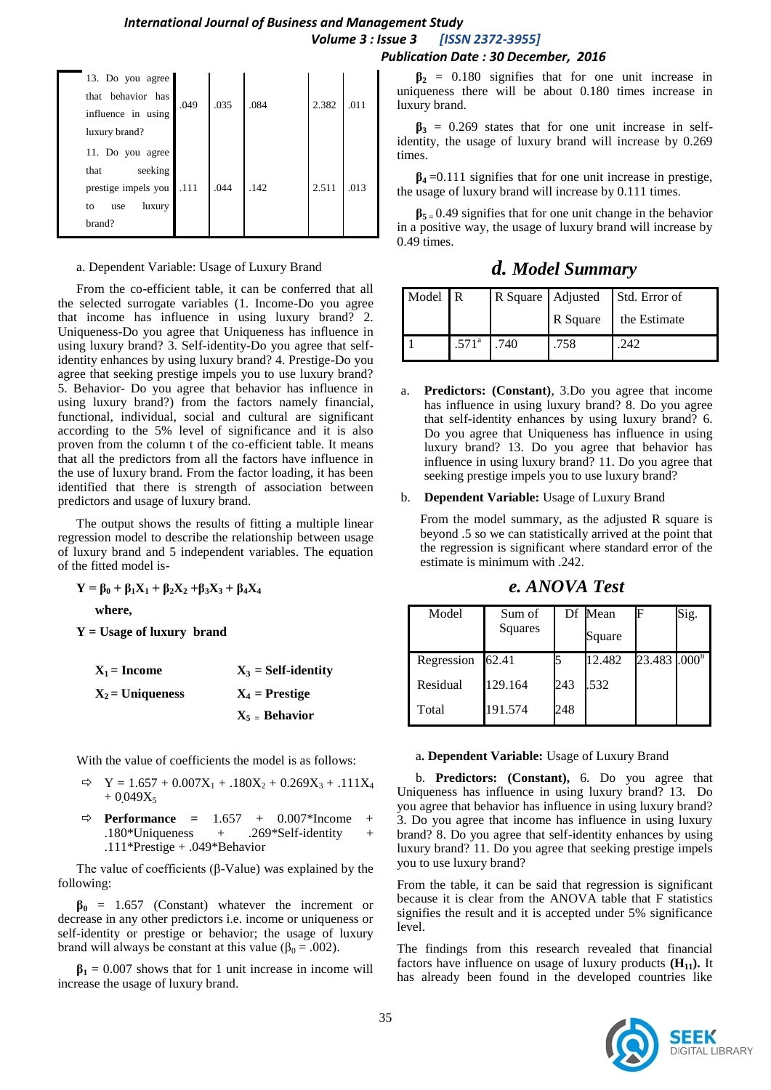### *International Journal of Business and Management Study Volume 3 : Issue 3 [ISSN 2372-3955] Publication Date : 30 December, 2016*

| 13. Do you agree    |      |      |      |       |      |
|---------------------|------|------|------|-------|------|
| that behavior has   |      | .035 |      | 2.382 | 011  |
| influence in using  | .049 |      | .084 |       |      |
| luxury brand?       |      |      |      |       |      |
| 11. Do you agree    |      |      |      |       |      |
| seeking<br>that     |      |      |      |       |      |
| prestige impels you | .111 | .044 | .142 | 2.511 | .013 |
| luxury<br>to<br>use |      |      |      |       |      |
| brand?              |      |      |      |       |      |
|                     |      |      |      |       |      |

#### a. Dependent Variable: Usage of Luxury Brand

From the co-efficient table, it can be conferred that all the selected surrogate variables (1. Income-Do you agree that income has influence in using luxury brand? 2. Uniqueness-Do you agree that Uniqueness has influence in using luxury brand? 3. Self-identity-Do you agree that selfidentity enhances by using luxury brand? 4. Prestige-Do you agree that seeking prestige impels you to use luxury brand? 5. Behavior- Do you agree that behavior has influence in using luxury brand?) from the factors namely financial, functional, individual, social and cultural are significant according to the 5% level of significance and it is also proven from the column t of the co-efficient table. It means that all the predictors from all the factors have influence in the use of luxury brand. From the factor loading, it has been identified that there is strength of association between predictors and usage of luxury brand.

The output shows the results of fitting a multiple linear regression model to describe the relationship between usage of luxury brand and 5 independent variables. The equation of the fitted model is-

 $Y = \beta_0 + \beta_1 X_1 + \beta_2 X_2 + \beta_3 X_3 + \beta_4 X_4$ 

**where,**

**Y = Usage of luxury brand**

| $X_1 = Income$     | $X_3 = Self-identity$   |
|--------------------|-------------------------|
| $X_2$ = Uniqueness | $X_4$ = Prestige        |
|                    | $X_5 = \text{Behavior}$ |

With the value of coefficients the model is as follows:

- $\Rightarrow$  Y = 1.657 + 0.007X<sub>1</sub> + .180X<sub>2</sub> + 0.269X<sub>3</sub> + .111X<sub>4</sub>  $+0.049X_5$
- **Performance =** 1.657 + 0.007\*Income + .180\*Uniqueness  $+$  .269\*Self-identity .111\*Prestige + .049\*Behavior

The value of coefficients (β-Value) was explained by the following:

 $\beta_0$  = 1.657 (Constant) whatever the increment or decrease in any other predictors i.e. income or uniqueness or self-identity or prestige or behavior; the usage of luxury brand will always be constant at this value ( $β_0 = .002$ ).

 $\beta_1 = 0.007$  shows that for 1 unit increase in income will increase the usage of luxury brand.

#### $\beta_2$  = 0.180 signifies that for one unit increase in uniqueness there will be about 0.180 times increase in luxury brand.

 $\beta_3$  = 0.269 states that for one unit increase in selfidentity, the usage of luxury brand will increase by 0.269 times.

 $\beta_4 = 0.111$  signifies that for one unit increase in prestige, the usage of luxury brand will increase by 0.111 times.

 $\beta_{5} = 0.49$  signifies that for one unit change in the behavior in a positive way, the usage of luxury brand will increase by 0.49 times.

*d. Model Summary*

| Model R |                     | R Square   Adjusted | Std. Error of |
|---------|---------------------|---------------------|---------------|
|         |                     | R Square            | the Estimate  |
|         | $.571^{\circ}$ .740 | .758                | 242           |

**Predictors:** (Constant), 3.Do you agree that income has influence in using luxury brand? 8. Do you agree that self-identity enhances by using luxury brand? 6. Do you agree that Uniqueness has influence in using luxury brand? 13. Do you agree that behavior has influence in using luxury brand? 11. Do you agree that seeking prestige impels you to use luxury brand?

#### b. **Dependent Variable:** Usage of Luxury Brand

From the model summary, as the adjusted R square is beyond .5 so we can statistically arrived at the point that the regression is significant where standard error of the estimate is minimum with .242.

*e. ANOVA Test*

| Model      | Sum of<br>Squares |     | Df Mean<br>Square |                            | Sig. |
|------------|-------------------|-----|-------------------|----------------------------|------|
| Regression | 62.41             |     | 12.482            | $23.483$ .000 <sup>b</sup> |      |
| Residual   | 129.164           | 243 | .532              |                            |      |
| Total      | 191.574           | 248 |                   |                            |      |

#### a**. Dependent Variable:** Usage of Luxury Brand

b. **Predictors: (Constant),** 6. Do you agree that Uniqueness has influence in using luxury brand? 13. Do you agree that behavior has influence in using luxury brand? 3. Do you agree that income has influence in using luxury brand? 8. Do you agree that self-identity enhances by using luxury brand? 11. Do you agree that seeking prestige impels you to use luxury brand?

From the table, it can be said that regression is significant because it is clear from the ANOVA table that F statistics signifies the result and it is accepted under 5% significance level.

The findings from this research revealed that financial factors have influence on usage of luxury products  $(H_{11})$ . It has already been found in the developed countries like